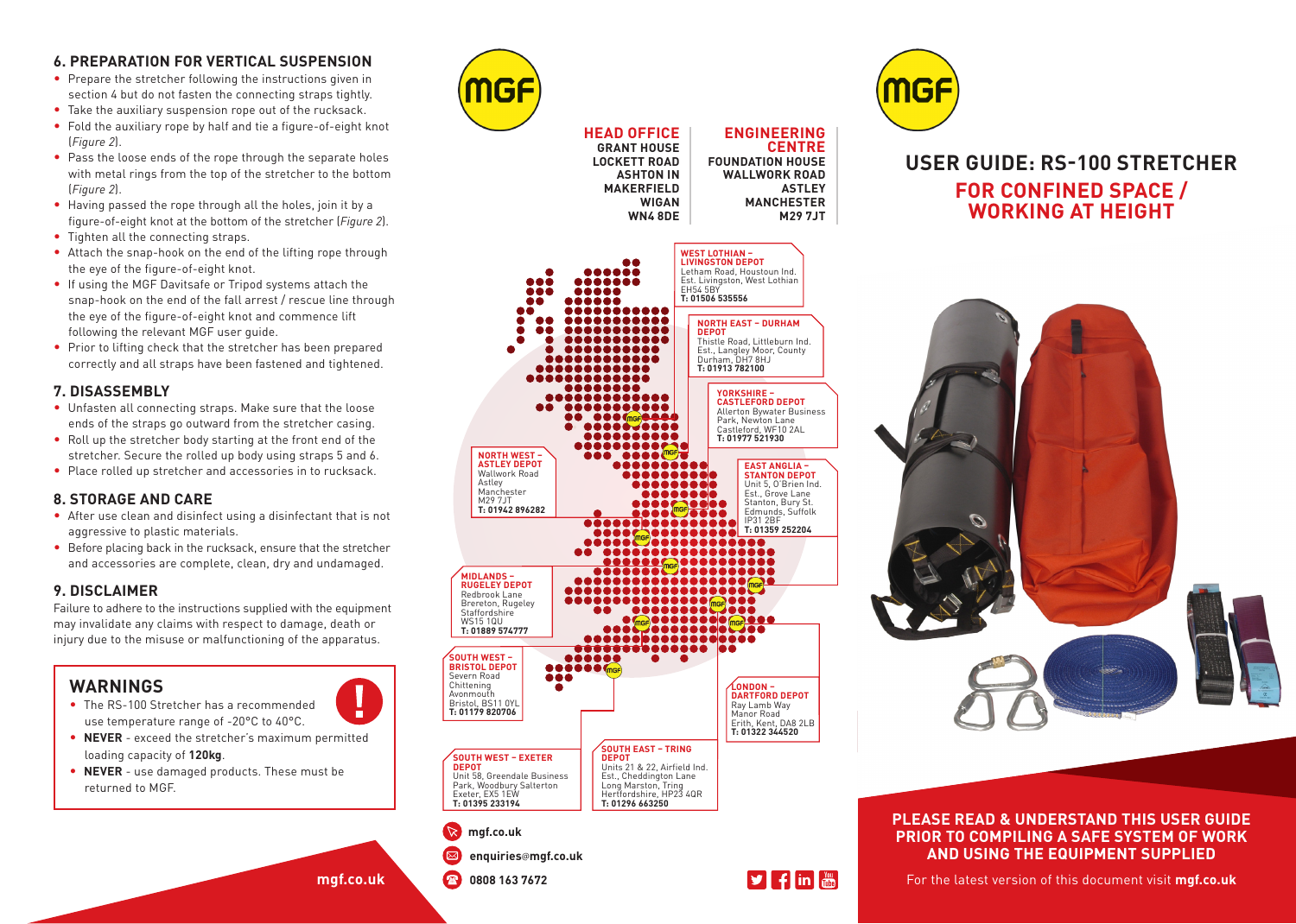#### **6. PREPARATION FOR VERTICAL SUSPENSION**

- Prepare the stretcher following the instructions given in section 4 but do not fasten the connecting straps tightly.
- Take the auxiliary suspension rope out of the rucksack.
- Fold the auxiliary rope by half and tie a figure-of-eight knot (*Figure 2*).
- Pass the loose ends of the rope through the separate holes with metal rings from the top of the stretcher to the bottom (*Figure 2*).
- Having passed the rope through all the holes, join it by a figure-of-eight knot at the bottom of the stretcher (*Figure 2*).
- Tighten all the connecting straps.
- Attach the snap-hook on the end of the lifting rope through the eye of the figure-of-eight knot.
- If using the MGF Davitsafe or Tripod systems attach the snap-hook on the end of the fall arrest / rescue line through the eye of the figure-of-eight knot and commence lift following the relevant MGF user guide.
- Prior to lifting check that the stretcher has been prepared correctly and all straps have been fastened and tightened.

## **7. DISASSEMBLY**

- Unfasten all connecting straps. Make sure that the loose ends of the straps go outward from the stretcher casing.
- Roll up the stretcher body starting at the front end of the stretcher. Secure the rolled up body using straps 5 and 6.
- Place rolled up stretcher and accessories in to rucksack.

#### **8. STORAGE AND CARE**

- After use clean and disinfect using a disinfectant that is not aggressive to plastic materials.
- Before placing back in the rucksack, ensure that the stretcher and accessories are complete, clean, dry and undamaged.

#### **9. DISCLAIMER**

Failure to adhere to the instructions supplied with the equipment may invalidate any claims with respect to damage, death or injury due to the misuse or malfunctioning of the apparatus.

# **WARNINGS**

- The RS-100 Stretcher has a recommended use temperature range of -20°C to 40°C.
- **NEVER** exceed the stretcher's maximum permitted loading capacity of **120kg**.
- **NEVER** use damaged products. These must be returned to MGF.





**M29 7JT**



**ASHTON IN** 

**WIGAN WN4 8DE**

# **USER GUIDE: RS-100 STRETCHER FOR CONFINED SPACE / WORKING AT HEIGHT**



#### **PLEASE READ & UNDERSTAND THIS USER GUIDE PRIOR TO COMPILING A SAFE SYSTEM OF WORK AND USING THE EQUIPMENT SUPPLIED**

**mgf.co.uk**

 **0808 163 7672**

**DEPOT** 

Chittening Avonmouth

**E: safety**@**mgf.ltd.uk** | **W: mgf.ltd.uk** For the latest version of this document visit **mgf.co.uk**